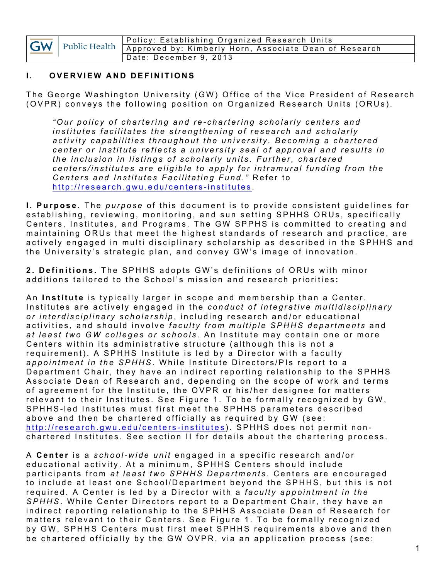| <b>GW</b> | Public Health | Policy: Establishing Organized Research Units          |
|-----------|---------------|--------------------------------------------------------|
|           |               | Approved by: Kimberly Horn, Associate Dean of Research |
|           |               | 'Date: December 9, 2013                                |

## **I.** OVERVIEW AND DEFINITIONS

The George Washington University (GW) Office of the Vice President of Research (OVPR) conveys the following position on Organized Research Units (ORUs).

*" Our policy of chartering and re - chartering scholarly centers and institutes facilitates the strengthening of research and scholarly activity capabilities throughout the university. Becoming a chartered center or institute reflects a university seal of appr oval and results in the inclusion in listings of scholarly units. Further, chartered centers/institutes are eligible to apply for intramural funding from the Centers and Institutes Facilitating Fund* .*"* Refer to http://research.gwu.edu/centers -institutes .

**I. Purpose.** The *purpose* of this document is to provide consistent guidelines for establishing, reviewing, monitoring, and sun setting SPHHS ORUs, specifically Centers, Institutes, and Programs. The GW SPPHS is committed to creating and maintaining ORUs that meet the highest standards of research and practice, are actively engaged in multi disciplinary scholarship as described in the SPHHS and the University's strategic plan, and convey GW's image of innovation.

**2. Definitions.** The SPHHS adopts GW's definitions of ORUs with minor additions tailored to the School's mission and research priorities **:** 

An **Institute** is typically larger in scope and membership than a Center. Institutes are actively engaged in the *conduct of integrative multidisciplinary or interdisciplinary scholarship* , including research and/or educational activities, and should involve *faculty from multiple SPHHS departments* and *at least two GW colleges or schools* . An Institute may contain one or more Centers within its administrative structure (although this is not a requirement). A SPHHS Institute is led by a Director with a faculty *appointment in the SPHHS*. While Institute Directors/PIs report to a Department Chair, they have an indirect reporting relationship to the SPHHS Associate Dean of Research and, depending on the scope of work and terms of agreement for the Institute, the OVPR or his/her designee for matters relevant to their Institutes. See Figure 1. To be formally recognized by GW, SPHHS -led Institutes must first meet the SPHHS parameters described above and then be chartered officially as required by GW (see: http://research.gwu.edu/centers-institutes). SPHHS does not permit nonchartered Institutes. See section II for details about the chartering process.

A **Center** is a *school- wide unit* engaged in a specific research and/ or educational activity. At a minimum, SPHHS Centers should include participants from *at least two SPHHS Departments* . Centers are encouraged to include at least one School/Department beyond the SPHHS, but this is not required . A Center is led by a Director with a *faculty appointment in the SPHHS* . While Center Directors report to a Department Chair, they have an indirect reporting relationship to the SPHHS Associate Dean of Research for matters relevant to their Centers . See Figure 1. To be formally recognized by GW, SPHHS Centers must first meet SPHHS re quirements above and then be chartered officially by the GW OVPR, via an application process (see: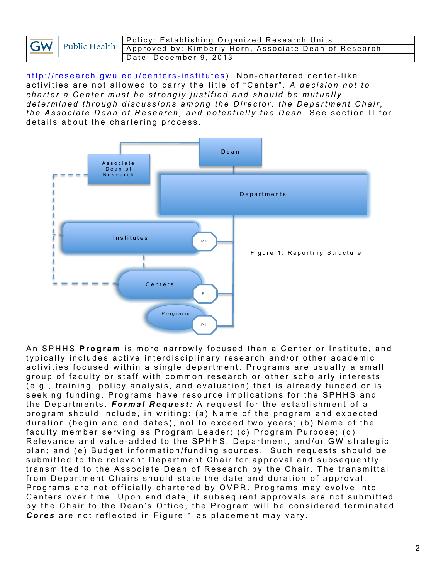| <b>GW</b> |  | Policy: Establishing Organized Research Units                             |
|-----------|--|---------------------------------------------------------------------------|
|           |  | Vell Public Health Approved by: Kimberly Horn, Associate Dean of Research |
|           |  | Date: December 9, 2013                                                    |

http://research.gwu.edu/centers -institutes ). Non - chartered center-like activities are not allowed to carry the title of "Center". *A decision not to charter a Center must be strongly justified and should be mutually determined through discussions among the Director, the Department Chair, the Associate Dean of Research, and potentially the Dean.* See section II for details about the chartering process.



A n SPHHS **Program** is more narrowly focused than a Center or Institute , and typically includes active interdisciplinary research and/or other academic activities focused within a single department. Programs are usually a small group of faculty or staff with common research or other scholarly interests (e.g., training, policy analysis, and evaluation) that is already funded or is seeking funding. Programs have resource implications for the SPHHS and the Departments. *Formal Request:* A request for the establishment of a program should include, in writing: (a) Name of the program and expected duration (begin and end dates), not to exceed two years; (b) Name of the faculty member serving as Program Leader; (c) Program Purpose; (d) Relevance and value-added to the SPHHS, Department, and/or GW strategic plan; and (e) Budget information/funding sources. Such requests should be submitted to the relevant Department Chair for approval and subsequently transmitted to the Associate Dean of Research by the Chair. The transmittal from Department Chairs should state the date and duration of approval. Programs are not officially chartered by OVPR. Programs may evolve into Centers over time. Upon end date, if subsequent approvals are not submitted by the Chair to the Dean's Office, the Program will be considered terminated. *Cores* are not reflected in Figure 1 as placement may vary.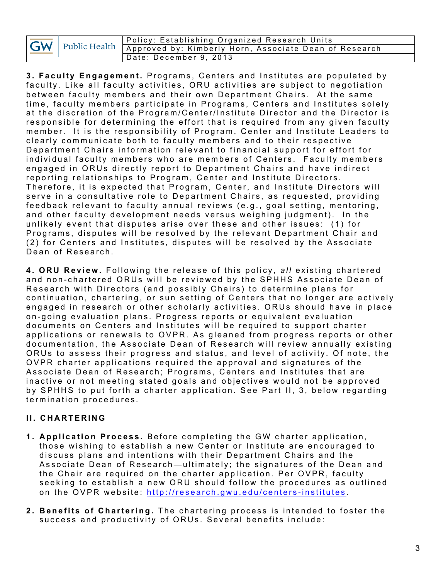| GW |  | Policy: Establishing Organized Research Units                        |
|----|--|----------------------------------------------------------------------|
|    |  | Public Health Approved by: Kimberly Horn, Associate Dean of Research |
|    |  | Date: December 9, 2013                                               |

**3. Faculty Engagement.** Programs, Centers and Institutes are populated by faculty. Like all faculty activities, ORU activities are subject to negotiation between faculty members and their own Department Chairs. At the same time, faculty members participate in Programs, Centers and Institutes solely at the discretion of the Program/Center/Institute Director and the Director is responsible for determining the effort that is required from any given faculty member. It is the responsibility of Program, Center and Institute Leaders to clearly communicate both to faculty members and to their respective Department Chairs information relevant to financial support for effort for individual faculty members who are members of Centers. Faculty members engaged in ORUs directly report to Department Chairs and have indirect reporting relationships to Program, Center and Institute Directors. Therefore, it is expected that Program, Center, and Institute Directors will serve in a consultative role to Department Chairs, as requested, providing feed back relevant to faculty annual reviews (e.g., goal setting, mentoring, and other faculty development needs versus weighing judgment). In the unlikely event that disputes arise over these and other issues: (1) for Programs, disputes will be resolved by the relevant Department Chair and (2) for Centers and Institutes, disputes will be resolved by the Associate Dean of Research.

**4. ORU Review.** Following the release of this policy, *all* existing chartered and non - chartered ORUs will be reviewed by the SPHHS Associate Dean of Research with Directors (and possibly Chairs) to determine plans for continuation, chartering, or sun setting of Centers that no longer are actively engaged in research or other scholarly activities . ORUs should have in place o n - going eva luation plans. Progress reports or equivalent evaluation documents on Centers and Institutes will be required to support charter applications or renewals to OVPR. As gleaned from progress reports or other documentation, the Associate Dean of Research will review annually existing ORUs to assess their progress and status, and level of activity. Of note, the OVPR charter applications required the approval and signatures of the Associate Dean of Research; Programs, Centers and Institutes that are inactive or not meeting stated goals and objectives would not be approved by SPHHS to put forth a charter application. See Part II, 3, below regarding termination procedures.

## **II. CHARTERING**

- **1 . Application Process.** Before completing the GW charter application, those wishing to establish a new Center or Institute are encouraged to discuss plans and intentions with their Department Chairs and the Associate Dean of Research — ultimately; the signatures of the Dean and the Chair are required on the charter application. Per OVPR, faculty seeking to establish a new ORU should follow the procedures as outlined on the OVPR website: http://research.gwu.edu/centers-institutes.
- **2 . Benefits of Chartering.** The chartering process is intended to foster the success and productivity of ORUs. Several benefits include: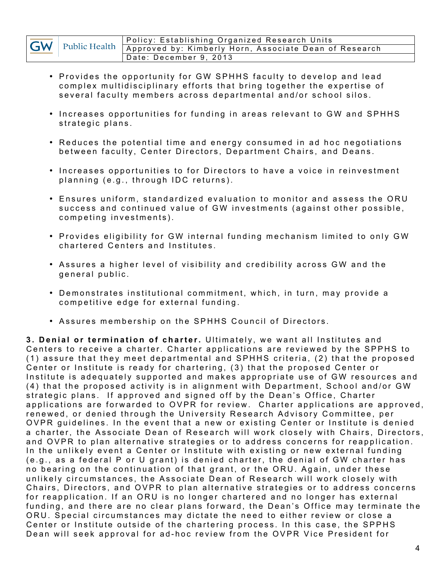|           |  | ' Policy: Establishing Organized Research Units                      |
|-----------|--|----------------------------------------------------------------------|
| <b>GW</b> |  | Public Health Approved by: Kimberly Horn, Associate Dean of Research |
|           |  | Date: December 9, 2013                                               |

- Provides the opportunity for GW SPHHS faculty to develop and lead complex multidisciplinary efforts that bring together the expertise of several faculty members across departmental and/or school silos.
- Increases opportunities for funding in areas relevant to GW and SPHHS strategic plans.
- Reduces the potential time and energy consumed in ad hoc negotiations between faculty, Center Directors, Department Chairs, and Deans.
- Increases opportunities to for Directors to have a voice in reinvestment planning (e.g., through IDC returns).
- Ensures uniform, standardized evaluation to monitor and assess the ORU success and continued v alue of GW investments (against other possible, competing investments).
- Provides eligibility for GW internal funding mechanism limited to only GW chartered Centers and Institutes.
- Assures a higher level of visibility and credibility across GW and the g eneral public.
- Demonstrates institutional commitment, which, in turn, may provide a competitive edge for external funding.
- Assures membership on the SPHHS Council of Directors.

**3. Denial or termination of charter.** Ultimately, we want all Institutes a nd Centers to receive a charter. Charter applications are reviewed by the SPPHS to (1) assure that they meet departmental and SPHHS criteria, (2) that the proposed Center or Institute is ready for chartering, (3) that the proposed Center or Institute is adequately supported and makes appropriate use of GW resources and (4) that the proposed activity is in alignment with Department, School and/or GW strategic plans. If approved and signed off by the Dean's Office, Charter applications are forwarded to OVPR for review. Charter applications are approved, renewed, or denied through the University Research Advisory Committee, per OVPR guidelines . In the event that a new or existing Center or Institute is denied a charter, the Associate Dean of Research will work closely with Chairs, Directors, and OVPR to plan alternative strategies or to address concerns for reapplication. In the unlikely event a Center or Institute with existing or new external funding (e.g., as a f ederal P or U grant) is denied charter, the denial of GW charter has no bearing on the continuation of that grant, or the ORU. Again, under these unlikely circumstances, the Associate Dean of Research will work closely with Chairs, Directors, and OVPR to plan alternative strategies or to address concerns for reapplication. If an ORU is no longer chartered and no longer has external funding, and there are no clear plans forward, the Dean's Office may terminate the ORU. Special circumstances may dictate the need to either review or close a Center or Institute outside of the chartering process. In this case, the SPPHS Dean will seek approval for ad-hoc review from the OVPR Vice President for